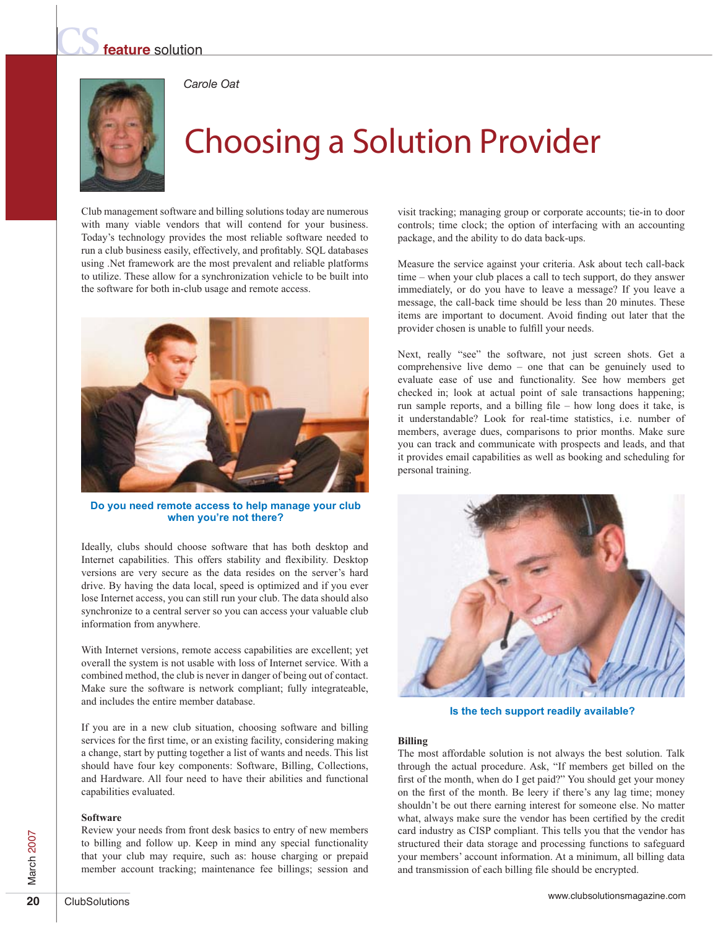# *<u>Cature</u>* solution



## *Carole Oat*

# Choosing a Solution Provider

Club management software and billing solutions today are numerous with many viable vendors that will contend for your business. Today's technology provides the most reliable software needed to run a club business easily, effectively, and profitably. SQL databases using .Net framework are the most prevalent and reliable platforms to utilize. These allow for a synchronization vehicle to be built into the software for both in-club usage and remote access.



**Do you need remote access to help manage your club when you're not there?**

Ideally, clubs should choose software that has both desktop and Internet capabilities. This offers stability and flexibility. Desktop versions are very secure as the data resides on the server's hard drive. By having the data local, speed is optimized and if you ever lose Internet access, you can still run your club. The data should also synchronize to a central server so you can access your valuable club information from anywhere.

With Internet versions, remote access capabilities are excellent; yet overall the system is not usable with loss of Internet service. With a combined method, the club is never in danger of being out of contact. Make sure the software is network compliant; fully integrateable, and includes the entire member database.

If you are in a new club situation, choosing software and billing services for the first time, or an existing facility, considering making a change, start by putting together a list of wants and needs. This list should have four key components: Software, Billing, Collections, and Hardware. All four need to have their abilities and functional capabilities evaluated.

#### **Software**

Review your needs from front desk basics to entry of new members to billing and follow up. Keep in mind any special functionality that your club may require, such as: house charging or prepaid member account tracking; maintenance fee billings; session and

visit tracking; managing group or corporate accounts; tie-in to door controls; time clock; the option of interfacing with an accounting package, and the ability to do data back-ups.

Measure the service against your criteria. Ask about tech call-back time – when your club places a call to tech support, do they answer immediately, or do you have to leave a message? If you leave a message, the call-back time should be less than 20 minutes. These items are important to document. Avoid finding out later that the provider chosen is unable to fulfill your needs.

Next, really "see" the software, not just screen shots. Get a comprehensive live demo – one that can be genuinely used to evaluate ease of use and functionality. See how members get checked in; look at actual point of sale transactions happening; run sample reports, and a billing file – how long does it take, is it understandable? Look for real-time statistics, i.e. number of members, average dues, comparisons to prior months. Make sure you can track and communicate with prospects and leads, and that it provides email capabilities as well as booking and scheduling for personal training.



**Is the tech support readily available?**

### **Billing**

The most affordable solution is not always the best solution. Talk through the actual procedure. Ask, "If members get billed on the first of the month, when do I get paid?" You should get your money on the first of the month. Be leery if there's any lag time; money shouldn't be out there earning interest for someone else. No matter what, always make sure the vendor has been certified by the credit card industry as CISP compliant. This tells you that the vendor has structured their data storage and processing functions to safeguard your members' account information. At a minimum, all billing data and transmission of each billing file should be encrypted.